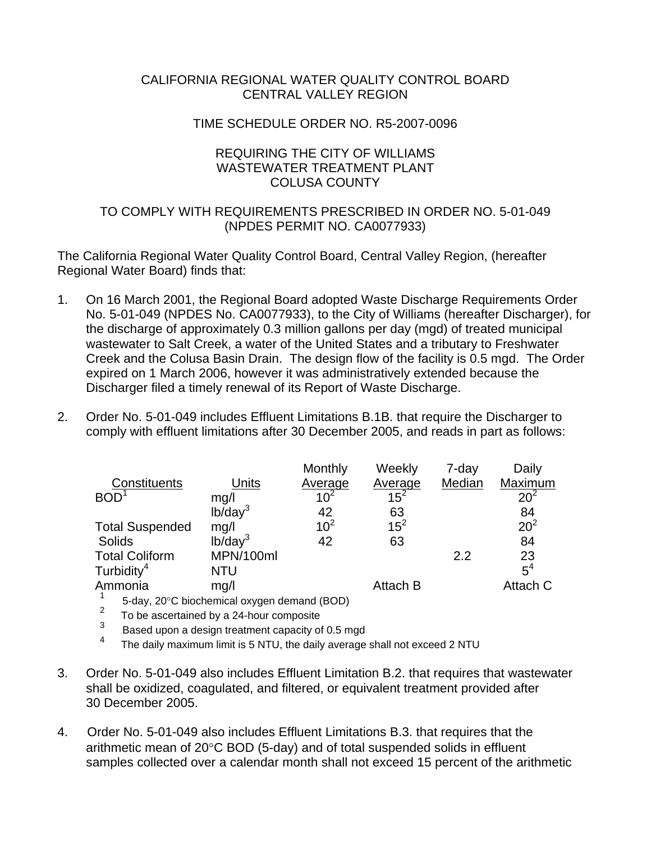## CALIFORNIA REGIONAL WATER QUALITY CONTROL BOARD CENTRAL VALLEY REGION

#### TIME SCHEDULE ORDER NO. R5-2007-0096

## REQUIRING THE CITY OF WILLIAMS WASTEWATER TREATMENT PLANT COLUSA COUNTY

## TO COMPLY WITH REQUIREMENTS PRESCRIBED IN ORDER NO. 5-01-049 (NPDES PERMIT NO. CA0077933)

The California Regional Water Quality Control Board, Central Valley Region, (hereafter Regional Water Board) finds that:

- 1. On 16 March 2001, the Regional Board adopted Waste Discharge Requirements Order No. 5-01-049 (NPDES No. CA0077933), to the City of Williams (hereafter Discharger), for the discharge of approximately 0.3 million gallons per day (mgd) of treated municipal wastewater to Salt Creek, a water of the United States and a tributary to Freshwater Creek and the Colusa Basin Drain. The design flow of the facility is 0.5 mgd. The Order expired on 1 March 2006, however it was administratively extended because the Discharger filed a timely renewal of its Report of Waste Discharge.
- 2. Order No. 5-01-049 includes Effluent Limitations B.1B. that require the Discharger to comply with effluent limitations after 30 December 2005, and reads in part as follows:

|                        |                     | Monthly         | Weekly   | 7-day  | Daily           |
|------------------------|---------------------|-----------------|----------|--------|-----------------|
| Constituents           | Units               | Average         | Average  | Median | Maximum         |
| $\mathsf{BOD}^1$       | mg/l                | $10^{2}$        | $15^2$   |        | $20^{2}$        |
|                        | lb/day <sup>3</sup> | 42              | 63       |        | 84              |
| <b>Total Suspended</b> | mg/l                | 10 <sup>2</sup> | $15^2$   |        | 20 <sup>2</sup> |
| Solids                 | lb/day <sup>3</sup> | 42              | 63       |        | 84              |
| <b>Total Coliform</b>  | MPN/100ml           |                 |          | 2.2    | 23              |
| Turbidity <sup>4</sup> | NTU                 |                 |          |        | $5^4$           |
| Ammonia                | mg/l                |                 | Attach B |        | Attach C        |
|                        |                     |                 |          |        |                 |

 $\frac{1}{2}$  5-day, 20°C biochemical oxygen demand (BOD)

 $\frac{2}{3}$  To be ascertained by a 24-hour composite<br> $\frac{3}{3}$  Beach upon a design tractment considered

 $\frac{3}{4}$  Based upon a design treatment capacity of 0.5 mgd

The daily maximum limit is 5 NTU, the daily average shall not exceed 2 NTU

- 3. Order No. 5-01-049 also includes Effluent Limitation B.2. that requires that wastewater shall be oxidized, coagulated, and filtered, or equivalent treatment provided after 30 December 2005.
- 4. Order No. 5-01-049 also includes Effluent Limitations B.3. that requires that the arithmetic mean of 20°C BOD (5-day) and of total suspended solids in effluent samples collected over a calendar month shall not exceed 15 percent of the arithmetic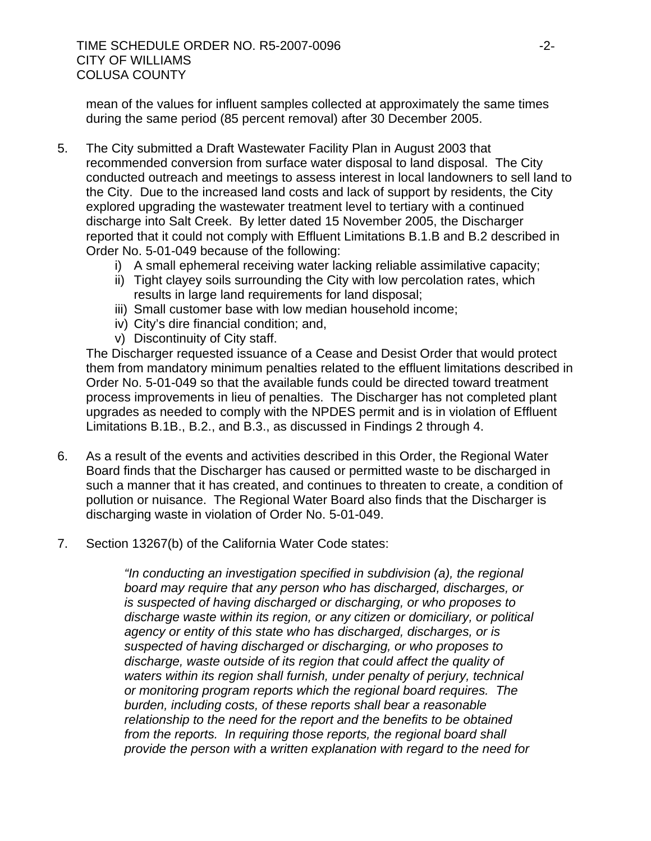TIME SCHEDULE ORDER NO. R5-2007-0096 -2- CITY OF WILLIAMS COLUSA COUNTY

mean of the values for influent samples collected at approximately the same times during the same period (85 percent removal) after 30 December 2005.

- 5. The City submitted a Draft Wastewater Facility Plan in August 2003 that recommended conversion from surface water disposal to land disposal. The City conducted outreach and meetings to assess interest in local landowners to sell land to the City. Due to the increased land costs and lack of support by residents, the City explored upgrading the wastewater treatment level to tertiary with a continued discharge into Salt Creek. By letter dated 15 November 2005, the Discharger reported that it could not comply with Effluent Limitations B.1.B and B.2 described in Order No. 5-01-049 because of the following:
	- i) A small ephemeral receiving water lacking reliable assimilative capacity;
	- ii) Tight clayey soils surrounding the City with low percolation rates, which results in large land requirements for land disposal;
	- iii) Small customer base with low median household income;
	- iv) City's dire financial condition; and,
	- v) Discontinuity of City staff.

The Discharger requested issuance of a Cease and Desist Order that would protect them from mandatory minimum penalties related to the effluent limitations described in Order No. 5-01-049 so that the available funds could be directed toward treatment process improvements in lieu of penalties. The Discharger has not completed plant upgrades as needed to comply with the NPDES permit and is in violation of Effluent Limitations B.1B., B.2., and B.3., as discussed in Findings 2 through 4.

- 6. As a result of the events and activities described in this Order, the Regional Water Board finds that the Discharger has caused or permitted waste to be discharged in such a manner that it has created, and continues to threaten to create, a condition of pollution or nuisance. The Regional Water Board also finds that the Discharger is discharging waste in violation of Order No. 5-01-049.
- 7. Section 13267(b) of the California Water Code states:

*"In conducting an investigation specified in subdivision (a), the regional board may require that any person who has discharged, discharges, or is suspected of having discharged or discharging, or who proposes to discharge waste within its region, or any citizen or domiciliary, or political agency or entity of this state who has discharged, discharges, or is suspected of having discharged or discharging, or who proposes to discharge, waste outside of its region that could affect the quality of waters within its region shall furnish, under penalty of perjury, technical or monitoring program reports which the regional board requires. The burden, including costs, of these reports shall bear a reasonable relationship to the need for the report and the benefits to be obtained from the reports. In requiring those reports, the regional board shall provide the person with a written explanation with regard to the need for*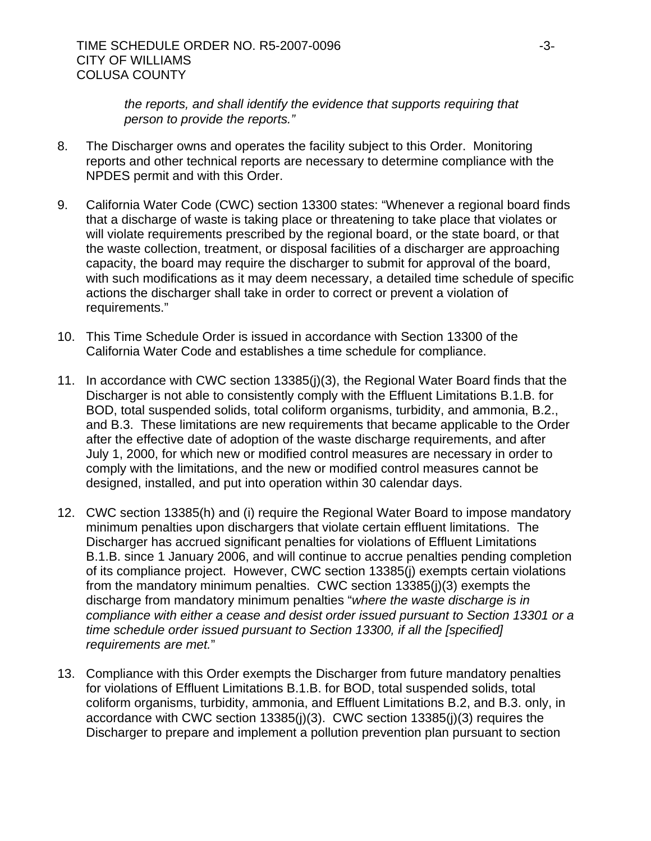*the reports, and shall identify the evidence that supports requiring that person to provide the reports."*

- 8. The Discharger owns and operates the facility subject to this Order. Monitoring reports and other technical reports are necessary to determine compliance with the NPDES permit and with this Order.
- 9. California Water Code (CWC) section 13300 states: "Whenever a regional board finds that a discharge of waste is taking place or threatening to take place that violates or will violate requirements prescribed by the regional board, or the state board, or that the waste collection, treatment, or disposal facilities of a discharger are approaching capacity, the board may require the discharger to submit for approval of the board, with such modifications as it may deem necessary, a detailed time schedule of specific actions the discharger shall take in order to correct or prevent a violation of requirements."
- 10. This Time Schedule Order is issued in accordance with Section 13300 of the California Water Code and establishes a time schedule for compliance.
- 11. In accordance with CWC section 13385(j)(3), the Regional Water Board finds that the Discharger is not able to consistently comply with the Effluent Limitations B.1.B. for BOD, total suspended solids, total coliform organisms, turbidity, and ammonia, B.2., and B.3. These limitations are new requirements that became applicable to the Order after the effective date of adoption of the waste discharge requirements, and after July 1, 2000, for which new or modified control measures are necessary in order to comply with the limitations, and the new or modified control measures cannot be designed, installed, and put into operation within 30 calendar days.
- 12. CWC section 13385(h) and (i) require the Regional Water Board to impose mandatory minimum penalties upon dischargers that violate certain effluent limitations. The Discharger has accrued significant penalties for violations of Effluent Limitations B.1.B. since 1 January 2006, and will continue to accrue penalties pending completion of its compliance project. However, CWC section 13385(j) exempts certain violations from the mandatory minimum penalties. CWC section 13385(j)(3) exempts the discharge from mandatory minimum penalties "*where the waste discharge is in compliance with either a cease and desist order issued pursuant to Section 13301 or a time schedule order issued pursuant to Section 13300, if all the [specified] requirements are met.*"
- 13. Compliance with this Order exempts the Discharger from future mandatory penalties for violations of Effluent Limitations B.1.B. for BOD, total suspended solids, total coliform organisms, turbidity, ammonia, and Effluent Limitations B.2, and B.3. only, in accordance with CWC section 13385(j)(3). CWC section 13385(j)(3) requires the Discharger to prepare and implement a pollution prevention plan pursuant to section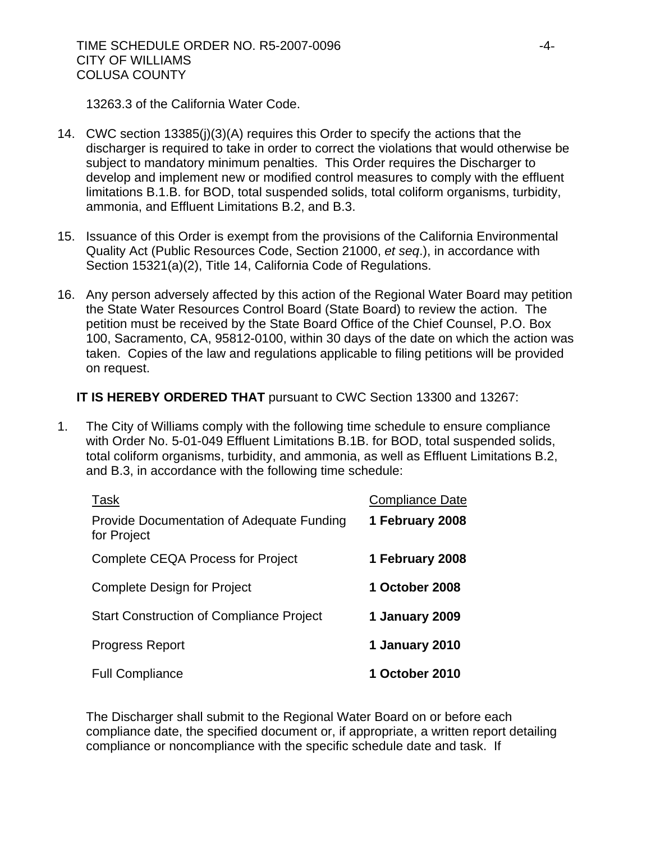13263.3 of the California Water Code.

- 14. CWC section 13385(j)(3)(A) requires this Order to specify the actions that the discharger is required to take in order to correct the violations that would otherwise be subject to mandatory minimum penalties. This Order requires the Discharger to develop and implement new or modified control measures to comply with the effluent limitations B.1.B. for BOD, total suspended solids, total coliform organisms, turbidity, ammonia, and Effluent Limitations B.2, and B.3.
- 15. Issuance of this Order is exempt from the provisions of the California Environmental Quality Act (Public Resources Code, Section 21000, *et seq*.), in accordance with Section 15321(a)(2), Title 14, California Code of Regulations.
- 16. Any person adversely affected by this action of the Regional Water Board may petition the State Water Resources Control Board (State Board) to review the action. The petition must be received by the State Board Office of the Chief Counsel, P.O. Box 100, Sacramento, CA, 95812-0100, within 30 days of the date on which the action was taken. Copies of the law and regulations applicable to filing petitions will be provided on request.

# **IT IS HEREBY ORDERED THAT** pursuant to CWC Section 13300 and 13267:

1. The City of Williams comply with the following time schedule to ensure compliance with Order No. 5-01-049 Effluent Limitations B.1B. for BOD, total suspended solids, total coliform organisms, turbidity, and ammonia, as well as Effluent Limitations B.2, and B.3, in accordance with the following time schedule:

| Task                                                     | <b>Compliance Date</b> |
|----------------------------------------------------------|------------------------|
| Provide Documentation of Adequate Funding<br>for Project | 1 February 2008        |
| <b>Complete CEQA Process for Project</b>                 | 1 February 2008        |
| <b>Complete Design for Project</b>                       | 1 October 2008         |
| <b>Start Construction of Compliance Project</b>          | 1 January 2009         |
| <b>Progress Report</b>                                   | 1 January 2010         |
| <b>Full Compliance</b>                                   | 1 October 2010         |

The Discharger shall submit to the Regional Water Board on or before each compliance date, the specified document or, if appropriate, a written report detailing compliance or noncompliance with the specific schedule date and task. If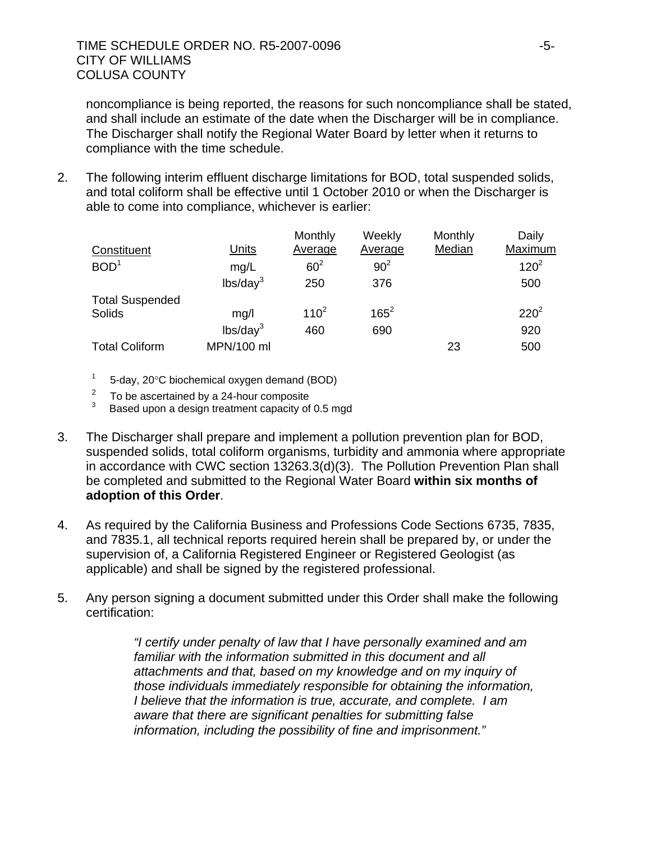noncompliance is being reported, the reasons for such noncompliance shall be stated, and shall include an estimate of the date when the Discharger will be in compliance. The Discharger shall notify the Regional Water Board by letter when it returns to compliance with the time schedule.

2. The following interim effluent discharge limitations for BOD, total suspended solids, and total coliform shall be effective until 1 October 2010 or when the Discharger is able to come into compliance, whichever is earlier:

| Constituent            | <b>Units</b>         | Monthly<br>Average | Weekly<br>Average | Monthly<br>Median | Daily<br>Maximum |
|------------------------|----------------------|--------------------|-------------------|-------------------|------------------|
| BOD <sup>1</sup>       | mg/L                 | $60^2$             | 90 <sup>2</sup>   |                   | $120^2$          |
|                        | lbs/day <sup>3</sup> | 250                | 376               |                   | 500              |
| <b>Total Suspended</b> |                      |                    |                   |                   |                  |
| Solids                 | mg/l                 | $110^{2}$          | $165^2$           |                   | $220^2$          |
|                        | lbs/day <sup>3</sup> | 460                | 690               |                   | 920              |
| <b>Total Coliform</b>  | MPN/100 ml           |                    |                   | 23                | 500              |

- $1 5$ -day, 20 $\degree$ C biochemical oxygen demand (BOD)
- $\frac{2}{3}$  To be ascertained by a 24-hour composite
- Based upon a design treatment capacity of 0.5 mgd
- 3. The Discharger shall prepare and implement a pollution prevention plan for BOD, suspended solids, total coliform organisms, turbidity and ammonia where appropriate in accordance with CWC section 13263.3(d)(3). The Pollution Prevention Plan shall be completed and submitted to the Regional Water Board **within six months of adoption of this Order**.
- 4. As required by the California Business and Professions Code Sections 6735, 7835, and 7835.1, all technical reports required herein shall be prepared by, or under the supervision of, a California Registered Engineer or Registered Geologist (as applicable) and shall be signed by the registered professional.
- 5. Any person signing a document submitted under this Order shall make the following certification:

*"I certify under penalty of law that I have personally examined and am familiar with the information submitted in this document and all attachments and that, based on my knowledge and on my inquiry of those individuals immediately responsible for obtaining the information, I believe that the information is true, accurate, and complete. I am aware that there are significant penalties for submitting false information, including the possibility of fine and imprisonment."*